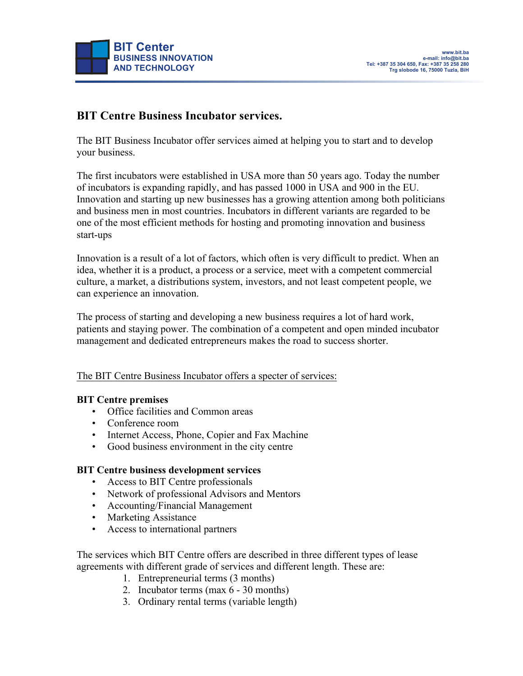

### **BIT Centre Business Incubator services.**

The BIT Business Incubator offer services aimed at helping you to start and to develop your business.

The first incubators were established in USA more than 50 years ago. Today the number of incubators is expanding rapidly, and has passed 1000 in USA and 900 in the EU. Innovation and starting up new businesses has a growing attention among both politicians and business men in most countries. Incubators in different variants are regarded to be one of the most efficient methods for hosting and promoting innovation and business start-ups

Innovation is a result of a lot of factors, which often is very difficult to predict. When an idea, whether it is a product, a process or a service, meet with a competent commercial culture, a market, a distributions system, investors, and not least competent people, we can experience an innovation.

The process of starting and developing a new business requires a lot of hard work, patients and staying power. The combination of a competent and open minded incubator management and dedicated entrepreneurs makes the road to success shorter.

The BIT Centre Business Incubator offers a specter of services:

### **BIT Centre premises**

- Office facilities and Common areas
- Conference room
- Internet Access, Phone, Copier and Fax Machine
- Good business environment in the city centre

### **BIT Centre business development services**

- Access to BIT Centre professionals
- Network of professional Advisors and Mentors
- Accounting/Financial Management
- Marketing Assistance
- Access to international partners

The services which BIT Centre offers are described in three different types of lease agreements with different grade of services and different length. These are:

- 1. Entrepreneurial terms (3 months)
- 2. Incubator terms (max 6 30 months)
- 3. Ordinary rental terms (variable length)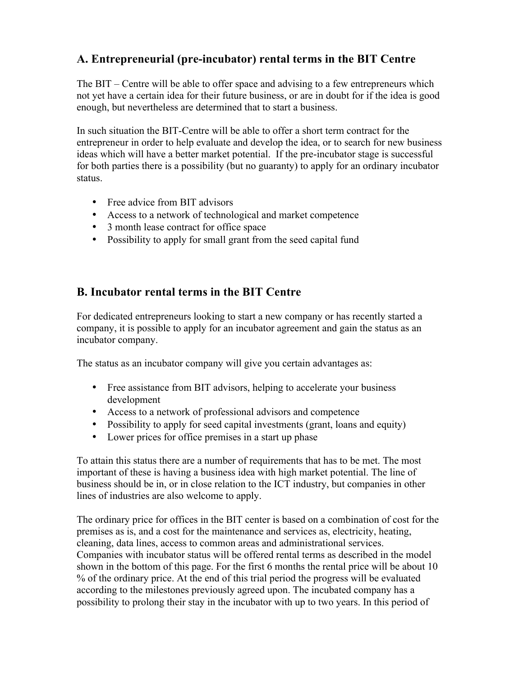# **A. Entrepreneurial (pre-incubator) rental terms in the BIT Centre**

The BIT – Centre will be able to offer space and advising to a few entrepreneurs which not yet have a certain idea for their future business, or are in doubt for if the idea is good enough, but nevertheless are determined that to start a business.

In such situation the BIT-Centre will be able to offer a short term contract for the entrepreneur in order to help evaluate and develop the idea, or to search for new business ideas which will have a better market potential. If the pre-incubator stage is successful for both parties there is a possibility (but no guaranty) to apply for an ordinary incubator status.

- Free advice from BIT advisors
- Access to a network of technological and market competence
- 3 month lease contract for office space
- Possibility to apply for small grant from the seed capital fund

## **B. Incubator rental terms in the BIT Centre**

For dedicated entrepreneurs looking to start a new company or has recently started a company, it is possible to apply for an incubator agreement and gain the status as an incubator company.

The status as an incubator company will give you certain advantages as:

- Free assistance from BIT advisors, helping to accelerate your business development
- Access to a network of professional advisors and competence
- Possibility to apply for seed capital investments (grant, loans and equity)
- Lower prices for office premises in a start up phase

To attain this status there are a number of requirements that has to be met. The most important of these is having a business idea with high market potential. The line of business should be in, or in close relation to the ICT industry, but companies in other lines of industries are also welcome to apply.

The ordinary price for offices in the BIT center is based on a combination of cost for the premises as is, and a cost for the maintenance and services as, electricity, heating, cleaning, data lines, access to common areas and administrational services. Companies with incubator status will be offered rental terms as described in the model shown in the bottom of this page. For the first 6 months the rental price will be about 10 % of the ordinary price. At the end of this trial period the progress will be evaluated according to the milestones previously agreed upon. The incubated company has a possibility to prolong their stay in the incubator with up to two years. In this period of